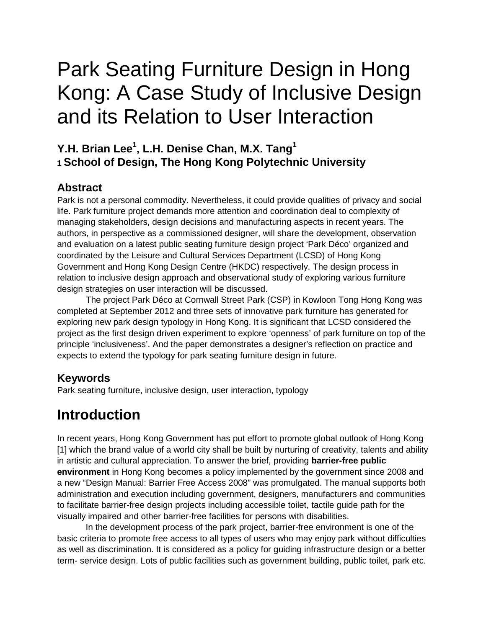# Park Seating Furniture Design in Hong Kong: A Case Study of Inclusive Design and its Relation to User Interaction

#### **Y.H. Brian Lee1 , L.H. Denise Chan, M.X. Tang1 1 School of Design, The Hong Kong Polytechnic University**

#### **Abstract**

Park is not a personal commodity. Nevertheless, it could provide qualities of privacy and social life. Park furniture project demands more attention and coordination deal to complexity of managing stakeholders, design decisions and manufacturing aspects in recent years. The authors, in perspective as a commissioned designer, will share the development, observation and evaluation on a latest public seating furniture design project 'Park Déco' organized and coordinated by the Leisure and Cultural Services Department (LCSD) of Hong Kong Government and Hong Kong Design Centre (HKDC) respectively. The design process in relation to inclusive design approach and observational study of exploring various furniture design strategies on user interaction will be discussed.

The project Park Déco at Cornwall Street Park (CSP) in Kowloon Tong Hong Kong was completed at September 2012 and three sets of innovative park furniture has generated for exploring new park design typology in Hong Kong. It is significant that LCSD considered the project as the first design driven experiment to explore 'openness' of park furniture on top of the principle 'inclusiveness'. And the paper demonstrates a designer's reflection on practice and expects to extend the typology for park seating furniture design in future.

#### **Keywords**

Park seating furniture, inclusive design, user interaction, typology

# **Introduction**

In recent years, Hong Kong Government has put effort to promote global outlook of Hong Kong [1] which the brand value of a world city shall be built by nurturing of creativity, talents and ability in artistic and cultural appreciation. To answer the brief, providing **barrier-free public environment** in Hong Kong becomes a policy implemented by the government since 2008 and a new "Design Manual: Barrier Free Access 2008" was promulgated. The manual supports both administration and execution including government, designers, manufacturers and communities to facilitate barrier-free design projects including accessible toilet, tactile guide path for the visually impaired and other barrier-free facilities for persons with disabilities.

In the development process of the park project, barrier-free environment is one of the basic criteria to promote free access to all types of users who may enjoy park without difficulties as well as discrimination. It is considered as a policy for guiding infrastructure design or a better term- service design. Lots of public facilities such as government building, public toilet, park etc.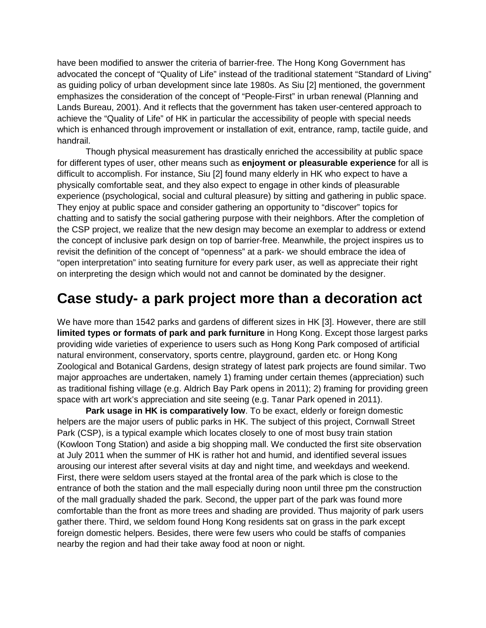have been modified to answer the criteria of barrier-free. The Hong Kong Government has advocated the concept of "Quality of Life" instead of the traditional statement "Standard of Living" as guiding policy of urban development since late 1980s. As Siu [2] mentioned, the government emphasizes the consideration of the concept of "People-First" in urban renewal (Planning and Lands Bureau, 2001). And it reflects that the government has taken user-centered approach to achieve the "Quality of Life" of HK in particular the accessibility of people with special needs which is enhanced through improvement or installation of exit, entrance, ramp, tactile guide, and handrail.

Though physical measurement has drastically enriched the accessibility at public space for different types of user, other means such as **enjoyment or pleasurable experience** for all is difficult to accomplish. For instance, Siu [2] found many elderly in HK who expect to have a physically comfortable seat, and they also expect to engage in other kinds of pleasurable experience (psychological, social and cultural pleasure) by sitting and gathering in public space. They enjoy at public space and consider gathering an opportunity to "discover" topics for chatting and to satisfy the social gathering purpose with their neighbors. After the completion of the CSP project, we realize that the new design may become an exemplar to address or extend the concept of inclusive park design on top of barrier-free. Meanwhile, the project inspires us to revisit the definition of the concept of "openness" at a park- we should embrace the idea of "open interpretation" into seating furniture for every park user, as well as appreciate their right on interpreting the design which would not and cannot be dominated by the designer.

# **Case study- a park project more than a decoration act**

We have more than 1542 parks and gardens of different sizes in HK [3]. However, there are still **limited types or formats of park and park furniture** in Hong Kong. Except those largest parks providing wide varieties of experience to users such as Hong Kong Park composed of artificial natural environment, conservatory, sports centre, playground, garden etc. or Hong Kong Zoological and Botanical Gardens, design strategy of latest park projects are found similar. Two major approaches are undertaken, namely 1) framing under certain themes (appreciation) such as traditional fishing village (e.g. Aldrich Bay Park opens in 2011); 2) framing for providing green space with art work's appreciation and site seeing (e.g. Tanar Park opened in 2011).

**Park usage in HK is comparatively low**. To be exact, elderly or foreign domestic helpers are the major users of public parks in HK. The subject of this project, Cornwall Street Park (CSP), is a typical example which locates closely to one of most busy train station (Kowloon Tong Station) and aside a big shopping mall. We conducted the first site observation at July 2011 when the summer of HK is rather hot and humid, and identified several issues arousing our interest after several visits at day and night time, and weekdays and weekend. First, there were seldom users stayed at the frontal area of the park which is close to the entrance of both the station and the mall especially during noon until three pm the construction of the mall gradually shaded the park. Second, the upper part of the park was found more comfortable than the front as more trees and shading are provided. Thus majority of park users gather there. Third, we seldom found Hong Kong residents sat on grass in the park except foreign domestic helpers. Besides, there were few users who could be staffs of companies nearby the region and had their take away food at noon or night.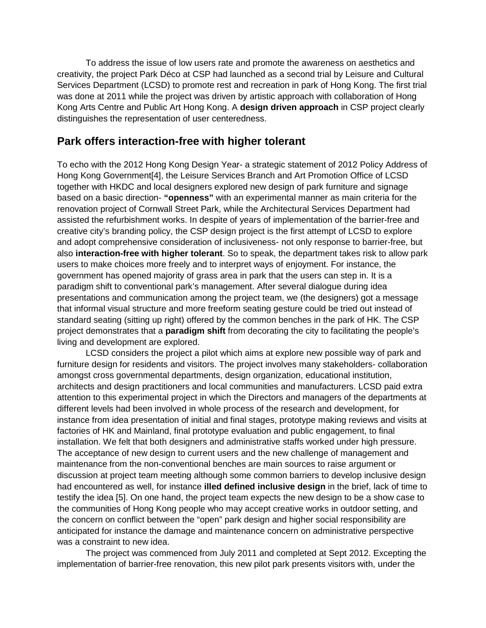To address the issue of low users rate and promote the awareness on aesthetics and creativity, the project Park Déco at CSP had launched as a second trial by Leisure and Cultural Services Department (LCSD) to promote rest and recreation in park of Hong Kong. The first trial was done at 2011 while the project was driven by artistic approach with collaboration of Hong Kong Arts Centre and Public Art Hong Kong. A **design driven approach** in CSP project clearly distinguishes the representation of user centeredness.

#### **Park offers interaction-free with higher tolerant**

To echo with the 2012 Hong Kong Design Year- a strategic statement of 2012 Policy Address of Hong Kong Government[4], the Leisure Services Branch and Art Promotion Office of LCSD together with HKDC and local designers explored new design of park furniture and signage based on a basic direction- **"openness"** with an experimental manner as main criteria for the renovation project of Cornwall Street Park, while the Architectural Services Department had assisted the refurbishment works. In despite of years of implementation of the barrier-free and creative city's branding policy, the CSP design project is the first attempt of LCSD to explore and adopt comprehensive consideration of inclusiveness- not only response to barrier-free, but also **interaction-free with higher tolerant**. So to speak, the department takes risk to allow park users to make choices more freely and to interpret ways of enjoyment. For instance, the government has opened majority of grass area in park that the users can step in. It is a paradigm shift to conventional park's management. After several dialogue during idea presentations and communication among the project team, we (the designers) got a message that informal visual structure and more freeform seating gesture could be tried out instead of standard seating (sitting up right) offered by the common benches in the park of HK. The CSP project demonstrates that a **paradigm shift** from decorating the city to facilitating the people's living and development are explored.

LCSD considers the project a pilot which aims at explore new possible way of park and furniture design for residents and visitors. The project involves many stakeholders- collaboration amongst cross governmental departments, design organization, educational institution, architects and design practitioners and local communities and manufacturers. LCSD paid extra attention to this experimental project in which the Directors and managers of the departments at different levels had been involved in whole process of the research and development, for instance from idea presentation of initial and final stages, prototype making reviews and visits at factories of HK and Mainland, final prototype evaluation and public engagement, to final installation. We felt that both designers and administrative staffs worked under high pressure. The acceptance of new design to current users and the new challenge of management and maintenance from the non-conventional benches are main sources to raise argument or discussion at project team meeting although some common barriers to develop inclusive design had encountered as well, for instance **illed defined inclusive design** in the brief, lack of time to testify the idea [5]. On one hand, the project team expects the new design to be a show case to the communities of Hong Kong people who may accept creative works in outdoor setting, and the concern on conflict between the "open" park design and higher social responsibility are anticipated for instance the damage and maintenance concern on administrative perspective was a constraint to new idea.

The project was commenced from July 2011 and completed at Sept 2012. Excepting the implementation of barrier-free renovation, this new pilot park presents visitors with, under the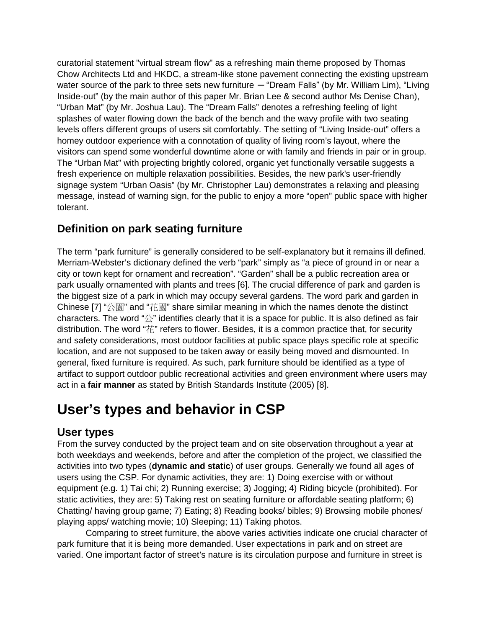curatorial statement "virtual stream flow" as a refreshing main theme proposed by Thomas Chow Architects Ltd and HKDC, a stream-like stone pavement connecting the existing upstream water source of the park to three sets new furniture — "Dream Falls" (by Mr. William Lim), "Living Inside-out" (by the main author of this paper Mr. Brian Lee & second author Ms Denise Chan), "Urban Mat" (by Mr. Joshua Lau). The "Dream Falls" denotes a refreshing feeling of light splashes of water flowing down the back of the bench and the wavy profile with two seating levels offers different groups of users sit comfortably. The setting of "Living Inside-out" offers a homey outdoor experience with a connotation of quality of living room's layout, where the visitors can spend some wonderful downtime alone or with family and friends in pair or in group. The "Urban Mat" with projecting brightly colored, organic yet functionally versatile suggests a fresh experience on multiple relaxation possibilities. Besides, the new park's user-friendly signage system "Urban Oasis" (by Mr. Christopher Lau) demonstrates a relaxing and pleasing message, instead of warning sign, for the public to enjoy a more "open" public space with higher tolerant.

#### **Definition on park seating furniture**

The term "park furniture" is generally considered to be self-explanatory but it remains ill defined. Merriam-Webster's dictionary defined the verb "park" simply as "a piece of ground in or near a city or town kept for ornament and recreation". "Garden" shall be a public recreation area or park usually ornamented with plants and trees [6]. The crucial difference of park and garden is the biggest size of a park in which may occupy several gardens. The word park and garden in Chinese [7] "公園" and "花園" share similar meaning in which the names denote the distinct characters. The word " $\&$ " identifies clearly that it is a space for public. It is also defined as fair distribution. The word "花" refers to flower. Besides, it is a common practice that, for security and safety considerations, most outdoor facilities at public space plays specific role at specific location, and are not supposed to be taken away or easily being moved and dismounted. In general, fixed furniture is required. As such, park furniture should be identified as a type of artifact to support outdoor public recreational activities and green environment where users may act in a **fair manner** as stated by British Standards Institute (2005) [8].

### **User's types and behavior in CSP**

#### **User types**

From the survey conducted by the project team and on site observation throughout a year at both weekdays and weekends, before and after the completion of the project, we classified the activities into two types (**dynamic and static**) of user groups. Generally we found all ages of users using the CSP. For dynamic activities, they are: 1) Doing exercise with or without equipment (e.g. 1) Tai chi; 2) Running exercise; 3) Jogging; 4) Riding bicycle (prohibited). For static activities, they are: 5) Taking rest on seating furniture or affordable seating platform; 6) Chatting/ having group game; 7) Eating; 8) Reading books/ bibles; 9) Browsing mobile phones/ playing apps/ watching movie; 10) Sleeping; 11) Taking photos.

Comparing to street furniture, the above varies activities indicate one crucial character of park furniture that it is being more demanded. User expectations in park and on street are varied. One important factor of street's nature is its circulation purpose and furniture in street is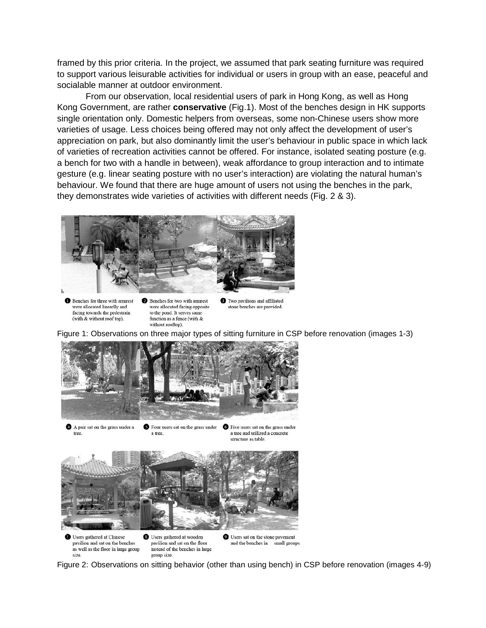framed by this prior criteria. In the project, we assumed that park seating furniture was required to support various leisurable activities for individual or users in group with an ease, peaceful and socialable manner at outdoor environment.

From our observation, local residential users of park in Hong Kong, as well as Hong Kong Government, are rather **conservative** (Fig.1). Most of the benches design in HK supports single orientation only. Domestic helpers from overseas, some non-Chinese users show more varieties of usage. Less choices being offered may not only affect the development of user's appreciation on park, but also dominantly limit the user's behaviour in public space in which lack of varieties of recreation activities cannot be offered. For instance, isolated seating posture (e.g. a bench for two with a handle in between), weak affordance to group interaction and to intimate gesture (e.g. linear seating posture with no user's interaction) are violating the natural human's behaviour. We found that there are huge amount of users not using the benches in the park, they demonstrates wide varieties of activities with different needs (Fig. 2 & 3).



**Benches** for three with armrest were allocated linearlly and facing towards the pedestrain (with & without roof top).

Benches for two with armrest were allocated facing opposite to the pond. It serves same function as a fence (with  $&$ without rooftop).

**O** Two pavilions and affiliated stone benches are provided

Figure 1: Observations on three major types of sitting furniture in CSP before renovation (images 1-3)



Figure 2: Observations on sitting behavior (other than using bench) in CSP before renovation (images 4-9)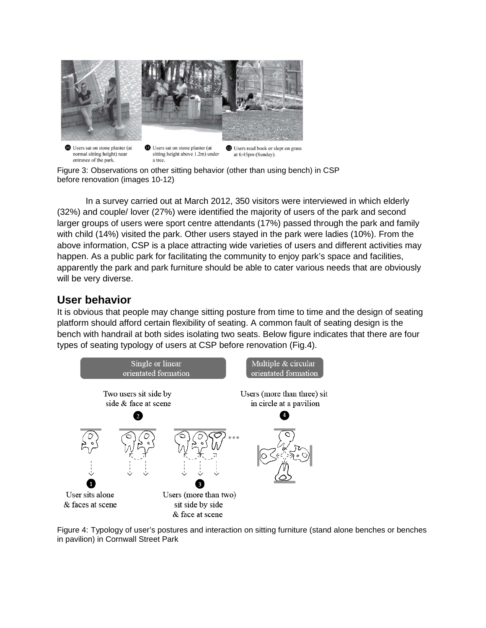

normal sitting height) near sitting height above 1.2m) under at 6:45pm (Sunday). entrance of the park. a tree.

Figure 3: Observations on other sitting behavior (other than using bench) in CSP before renovation (images 10-12)

In a survey carried out at March 2012, 350 visitors were interviewed in which elderly (32%) and couple/ lover (27%) were identified the majority of users of the park and second larger groups of users were sport centre attendants (17%) passed through the park and family with child (14%) visited the park. Other users stayed in the park were ladies (10%). From the above information, CSP is a place attracting wide varieties of users and different activities may happen. As a public park for facilitating the community to enjoy park's space and facilities, apparently the park and park furniture should be able to cater various needs that are obviously will be very diverse.

#### **User behavior**

It is obvious that people may change sitting posture from time to time and the design of seating platform should afford certain flexibility of seating. A common fault of seating design is the bench with handrail at both sides isolating two seats. Below figure indicates that there are four types of seating typology of users at CSP before renovation (Fig.4).



Figure 4: Typology of user's postures and interaction on sitting furniture (stand alone benches or benches in pavilion) in Cornwall Street Park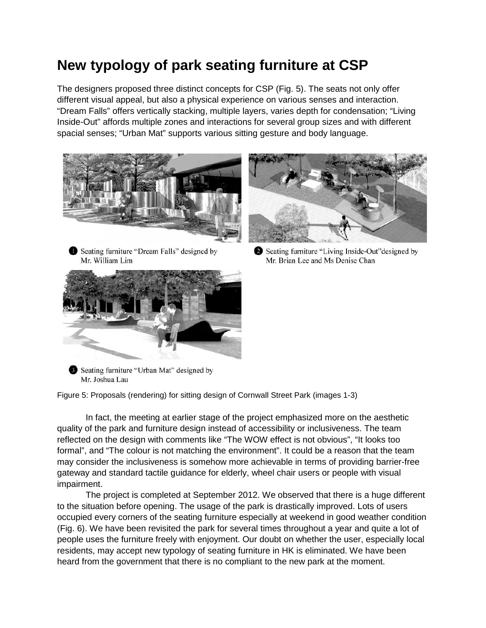# **New typology of park seating furniture at CSP**

The designers proposed three distinct concepts for CSP (Fig. 5). The seats not only offer different visual appeal, but also a physical experience on various senses and interaction. "Dream Falls" offers vertically stacking, multiple layers, varies depth for condensation; "Living Inside-Out" affords multiple zones and interactions for several group sizes and with different spacial senses; "Urban Mat" supports various sitting gesture and body language.



Seating furniture "Dream Falls" designed by Mr. William Lim





Seating furniture "Living Inside-Out" designed by Mr. Brian Lee and Ms Denise Chan

Seating furniture "Urban Mat" designed by Mr. Joshua Lau

Figure 5: Proposals (rendering) for sitting design of Cornwall Street Park (images 1-3)

In fact, the meeting at earlier stage of the project emphasized more on the aesthetic quality of the park and furniture design instead of accessibility or inclusiveness. The team reflected on the design with comments like "The WOW effect is not obvious", "It looks too formal", and "The colour is not matching the environment". It could be a reason that the team may consider the inclusiveness is somehow more achievable in terms of providing barrier-free gateway and standard tactile guidance for elderly, wheel chair users or people with visual impairment.

The project is completed at September 2012. We observed that there is a huge different to the situation before opening. The usage of the park is drastically improved. Lots of users occupied every corners of the seating furniture especially at weekend in good weather condition (Fig. 6). We have been revisited the park for several times throughout a year and quite a lot of people uses the furniture freely with enjoyment. Our doubt on whether the user, especially local residents, may accept new typology of seating furniture in HK is eliminated. We have been heard from the government that there is no compliant to the new park at the moment.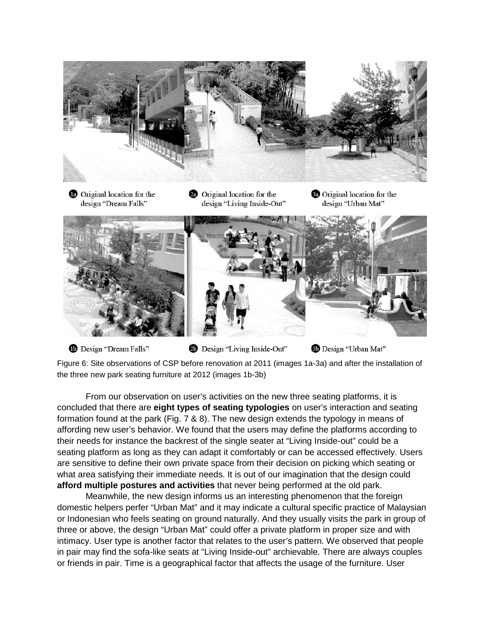

<sup>1</sup>Design "Dream Falls" 20 Design "Living Inside-Out" Design "Urban Mat"

Figure 6: Site observations of CSP before renovation at 2011 (images 1a-3a) and after the installation of the three new park seating furniture at 2012 (images 1b-3b)

From our observation on user's activities on the new three seating platforms, it is concluded that there are **eight types of seating typologies** on user's interaction and seating formation found at the park (Fig. 7 & 8). The new design extends the typology in means of affording new user's behavior. We found that the users may define the platforms according to their needs for instance the backrest of the single seater at "Living Inside-out" could be a seating platform as long as they can adapt it comfortably or can be accessed effectively. Users are sensitive to define their own private space from their decision on picking which seating or what area satisfying their immediate needs. It is out of our imagination that the design could **afford multiple postures and activities** that never being performed at the old park.

Meanwhile, the new design informs us an interesting phenomenon that the foreign domestic helpers perfer "Urban Mat" and it may indicate a cultural specific practice of Malaysian or Indonesian who feels seating on ground naturally. And they usually visits the park in group of three or above, the design "Urban Mat" could offer a private platform in proper size and with intimacy. User type is another factor that relates to the user's pattern. We observed that people in pair may find the sofa-like seats at "Living Inside-out" archievable. There are always couples or friends in pair. Time is a geographical factor that affects the usage of the furniture. User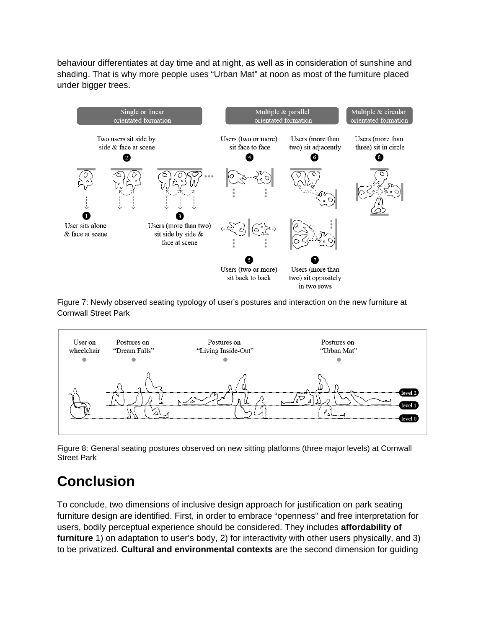behaviour differentiates at day time and at night, as well as in consideration of sunshine and shading. That is why more people uses "Urban Mat" at noon as most of the furniture placed under bigger trees.



Figure 7: Newly observed seating typology of user's postures and interaction on the new furniture at Cornwall Street Park



Figure 8: General seating postures observed on new sitting platforms (three major levels) at Cornwall Street Park

# **Conclusion**

To conclude, two dimensions of inclusive design approach for justification on park seating furniture design are identified. First, in order to embrace "openness" and free interpretation for users, bodily perceptual experience should be considered. They includes **affordability of furniture** 1) on adaptation to user's body, 2) for interactivity with other users physically, and 3) to be privatized. **Cultural and environmental contexts** are the second dimension for guiding